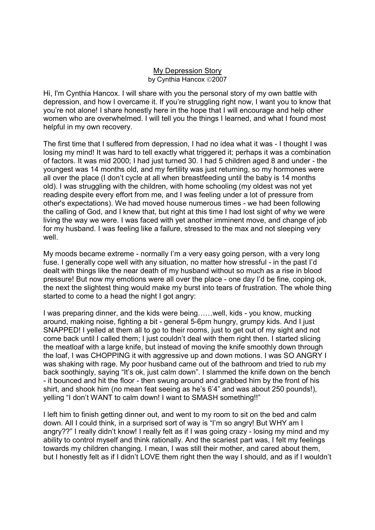## My Depression Story by Cynthia Hancox ©2007

Hi, I'm Cynthia Hancox. I will share with you the personal story of my own battle with depression, and how I overcame it. If you're struggling right now, I want you to know that you're not alone! I share honestly here in the hope that I will encourage and help other women who are overwhelmed. I will tell you the things I learned, and what I found most helpful in my own recovery.

The first time that I suffered from depression, I had no idea what it was - I thought I was losing my mind! It was hard to tell exactly what triggered it; perhaps it was a combination of factors. It was mid 2000; I had just turned 30. I had 5 children aged 8 and under - the youngest was 14 months old, and my fertility was just returning, so my hormones were all over the place (I don't cycle at all when breastfeeding until the baby is 14 months old). I was struggling with the children, with home schooling (my oldest was not yet reading despite every effort from me, and I was feeling under a lot of pressure from other's expectations). We had moved house numerous times - we had been following the calling of God, and I knew that, but right at this time I had lost sight of why we were living the way we were. I was faced with yet another imminent move, and change of job for my husband. I was feeling like a failure, stressed to the max and not sleeping very well.

My moods became extreme - normally I'm a very easy going person, with a very long fuse. I generally cope well with any situation, no matter how stressful - in the past I'd dealt with things like the near death of my husband without so much as a rise in blood pressure! But now my emotions were all over the place - one day I'd be fine, coping ok, the next the slightest thing would make my burst into tears of frustration. The whole thing started to come to a head the night I got angry:

I was preparing dinner, and the kids were being……well, kids - you know, mucking around, making noise, fighting a bit - general 5-6pm hungry, grumpy kids. And I just SNAPPED! I yelled at them all to go to their rooms, just to get out of my sight and not come back until I called them; I just couldn't deal with them right then. I started slicing the meatloaf with a large knife, but instead of moving the knife smoothly down through the loaf, I was CHOPPING it with aggressive up and down motions. I was SO ANGRY I was shaking with rage. My poor husband came out of the bathroom and tried to rub my back soothingly, saying "It's ok, just calm down". I slammed the knife down on the bench - it bounced and hit the floor - then swung around and grabbed him by the front of his shirt, and shook him (no mean feat seeing as he's 6'4" and was about 250 pounds!), yelling "I don't WANT to calm down! I want to SMASH something!!"

I left him to finish getting dinner out, and went to my room to sit on the bed and calm down. All I could think, in a surprised sort of way is "I'm so angry! But WHY am I angry??" I really didn't know! I really felt as if I was going crazy - losing my mind and my ability to control myself and think rationally. And the scariest part was, I felt my feelings towards my children changing. I mean, I was still their mother, and cared about them, but I honestly felt as if I didn't LOVE them right then the way I should, and as if I wouldn't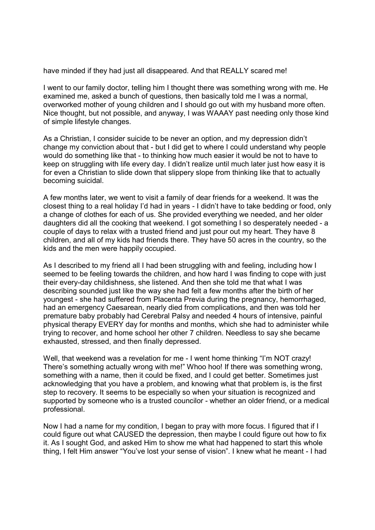have minded if they had just all disappeared. And that REALLY scared me!

I went to our family doctor, telling him I thought there was something wrong with me. He examined me, asked a bunch of questions, then basically told me I was a normal, overworked mother of young children and I should go out with my husband more often. Nice thought, but not possible, and anyway, I was WAAAY past needing only those kind of simple lifestyle changes.

As a Christian, I consider suicide to be never an option, and my depression didn't change my conviction about that - but I did get to where I could understand why people would do something like that - to thinking how much easier it would be not to have to keep on struggling with life every day. I didn't realize until much later just how easy it is for even a Christian to slide down that slippery slope from thinking like that to actually becoming suicidal.

A few months later, we went to visit a family of dear friends for a weekend. It was the closest thing to a real holiday I'd had in years - I didn't have to take bedding or food, only a change of clothes for each of us. She provided everything we needed, and her older daughters did all the cooking that weekend. I got something I so desperately needed - a couple of days to relax with a trusted friend and just pour out my heart. They have 8 children, and all of my kids had friends there. They have 50 acres in the country, so the kids and the men were happily occupied.

As I described to my friend all I had been struggling with and feeling, including how I seemed to be feeling towards the children, and how hard I was finding to cope with just their every-day childishness, she listened. And then she told me that what I was describing sounded just like the way she had felt a few months after the birth of her youngest - she had suffered from Placenta Previa during the pregnancy, hemorrhaged, had an emergency Caesarean, nearly died from complications, and then was told her premature baby probably had Cerebral Palsy and needed 4 hours of intensive, painful physical therapy EVERY day for months and months, which she had to administer while trying to recover, and home school her other 7 children. Needless to say she became exhausted, stressed, and then finally depressed.

Well, that weekend was a revelation for me - I went home thinking "I'm NOT crazy! There's something actually wrong with me!" Whoo hoo! If there was something wrong, something with a name, then it could be fixed, and I could get better. Sometimes just acknowledging that you have a problem, and knowing what that problem is, is the first step to recovery. It seems to be especially so when your situation is recognized and supported by someone who is a trusted councilor - whether an older friend, or a medical professional.

Now I had a name for my condition, I began to pray with more focus. I figured that if I could figure out what CAUSED the depression, then maybe I could figure out how to fix it. As I sought God, and asked Him to show me what had happened to start this whole thing, I felt Him answer "You've lost your sense of vision". I knew what he meant - I had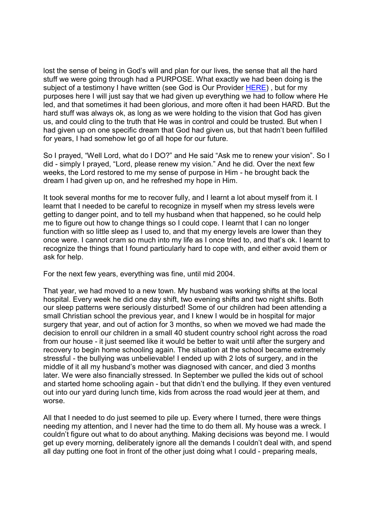lost the sense of being in God's will and plan for our lives, the sense that all the hard stuff we were going through had a PURPOSE. What exactly we had been doing is the subject of a testimony I have written (see God is Our Provider HERE), but for my purposes here I will just say that we had given up everything we had to follow where He led, and that sometimes it had been glorious, and more often it had been HARD. But the hard stuff was always ok, as long as we were holding to the vision that God has given us, and could cling to the truth that He was in control and could be trusted. But when I had given up on one specific dream that God had given us, but that hadn't been fulfilled for years, I had somehow let go of all hope for our future.

So I prayed, "Well Lord, what do I DO?" and He said "Ask me to renew your vision". So I did - simply I prayed, "Lord, please renew my vision." And he did. Over the next few weeks, the Lord restored to me my sense of purpose in Him - he brought back the dream I had given up on, and he refreshed my hope in Him.

It took several months for me to recover fully, and I learnt a lot about myself from it. I learnt that I needed to be careful to recognize in myself when my stress levels were getting to danger point, and to tell my husband when that happened, so he could help me to figure out how to change things so I could cope. I learnt that I can no longer function with so little sleep as I used to, and that my energy levels are lower than they once were. I cannot cram so much into my life as I once tried to, and that's ok. I learnt to recognize the things that I found particularly hard to cope with, and either avoid them or ask for help.

For the next few years, everything was fine, until mid 2004.

That year, we had moved to a new town. My husband was working shifts at the local hospital. Every week he did one day shift, two evening shifts and two night shifts. Both our sleep patterns were seriously disturbed! Some of our children had been attending a small Christian school the previous year, and I knew I would be in hospital for major surgery that year, and out of action for 3 months, so when we moved we had made the decision to enroll our children in a small 40 student country school right across the road from our house - it just seemed like it would be better to wait until after the surgery and recovery to begin home schooling again. The situation at the school became extremely stressful - the bullying was unbelievable! I ended up with 2 lots of surgery, and in the middle of it all my husband's mother was diagnosed with cancer, and died 3 months later. We were also financially stressed. In September we pulled the kids out of school and started home schooling again - but that didn't end the bullying. If they even ventured out into our yard during lunch time, kids from across the road would jeer at them, and worse.

All that I needed to do just seemed to pile up. Every where I turned, there were things needing my attention, and I never had the time to do them all. My house was a wreck. I couldn't figure out what to do about anything. Making decisions was beyond me. I would get up every morning, deliberately ignore all the demands I couldn't deal with, and spend all day putting one foot in front of the other just doing what I could - preparing meals,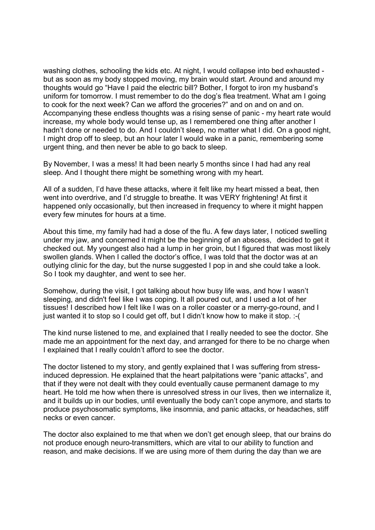washing clothes, schooling the kids etc. At night, I would collapse into bed exhausted but as soon as my body stopped moving, my brain would start. Around and around my thoughts would go "Have I paid the electric bill? Bother, I forgot to iron my husband's uniform for tomorrow. I must remember to do the dog's flea treatment. What am I going to cook for the next week? Can we afford the groceries?" and on and on and on. Accompanying these endless thoughts was a rising sense of panic - my heart rate would increase, my whole body would tense up, as I remembered one thing after another I hadn't done or needed to do. And I couldn't sleep, no matter what I did. On a good night, I might drop off to sleep, but an hour later I would wake in a panic, remembering some urgent thing, and then never be able to go back to sleep.

By November, I was a mess! It had been nearly 5 months since I had had any real sleep. And I thought there might be something wrong with my heart.

All of a sudden, I'd have these attacks, where it felt like my heart missed a beat, then went into overdrive, and I'd struggle to breathe. It was VERY frightening! At first it happened only occasionally, but then increased in frequency to where it might happen every few minutes for hours at a time.

About this time, my family had had a dose of the flu. A few days later, I noticed swelling under my jaw, and concerned it might be the beginning of an abscess, decided to get it checked out. My youngest also had a lump in her groin, but I figured that was most likely swollen glands. When I called the doctor's office, I was told that the doctor was at an outlying clinic for the day, but the nurse suggested I pop in and she could take a look. So I took my daughter, and went to see her.

Somehow, during the visit, I got talking about how busy life was, and how I wasn't sleeping, and didn't feel like I was coping. It all poured out, and I used a lot of her tissues! I described how I felt like I was on a roller coaster or a merry-go-round, and I just wanted it to stop so I could get off, but I didn't know how to make it stop. :-(

The kind nurse listened to me, and explained that I really needed to see the doctor. She made me an appointment for the next day, and arranged for there to be no charge when I explained that I really couldn't afford to see the doctor.

The doctor listened to my story, and gently explained that I was suffering from stressinduced depression. He explained that the heart palpitations were "panic attacks", and that if they were not dealt with they could eventually cause permanent damage to my heart. He told me how when there is unresolved stress in our lives, then we internalize it, and it builds up in our bodies, until eventually the body can't cope anymore, and starts to produce psychosomatic symptoms, like insomnia, and panic attacks, or headaches, stiff necks or even cancer.

The doctor also explained to me that when we don't get enough sleep, that our brains do not produce enough neuro-transmitters, which are vital to our ability to function and reason, and make decisions. If we are using more of them during the day than we are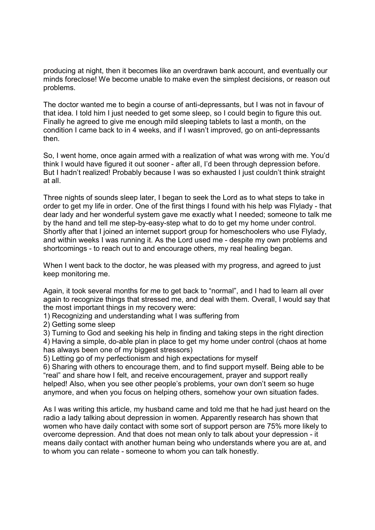producing at night, then it becomes like an overdrawn bank account, and eventually our minds foreclose! We become unable to make even the simplest decisions, or reason out problems.

The doctor wanted me to begin a course of anti-depressants, but I was not in favour of that idea. I told him I just needed to get some sleep, so I could begin to figure this out. Finally he agreed to give me enough mild sleeping tablets to last a month, on the condition I came back to in 4 weeks, and if I wasn't improved, go on anti-depressants then.

So, I went home, once again armed with a realization of what was wrong with me. You'd think I would have figured it out sooner - after all, I'd been through depression before. But I hadn't realized! Probably because I was so exhausted I just couldn't think straight at all.

Three nights of sounds sleep later, I began to seek the Lord as to what steps to take in order to get my life in order. One of the first things I found with his help was Flylady - that dear lady and her wonderful system gave me exactly what I needed; someone to talk me by the hand and tell me step-by-easy-step what to do to get my home under control. Shortly after that I joined an internet support group for homeschoolers who use Flylady, and within weeks I was running it. As the Lord used me - despite my own problems and shortcomings - to reach out to and encourage others, my real healing began.

When I went back to the doctor, he was pleased with my progress, and agreed to just keep monitoring me.

Again, it took several months for me to get back to "normal", and I had to learn all over again to recognize things that stressed me, and deal with them. Overall, I would say that the most important things in my recovery were:

1) Recognizing and understanding what I was suffering from

2) Getting some sleep

3) Turning to God and seeking his help in finding and taking steps in the right direction 4) Having a simple, do-able plan in place to get my home under control (chaos at home has always been one of my biggest stressors)

5) Letting go of my perfectionism and high expectations for myself

6) Sharing with others to encourage them, and to find support myself. Being able to be "real" and share how I felt, and receive encouragement, prayer and support really helped! Also, when you see other people's problems, your own don't seem so huge anymore, and when you focus on helping others, somehow your own situation fades.

As I was writing this article, my husband came and told me that he had just heard on the radio a lady talking about depression in women. Apparently research has shown that women who have daily contact with some sort of support person are 75% more likely to overcome depression. And that does not mean only to talk about your depression - it means daily contact with another human being who understands where you are at, and to whom you can relate - someone to whom you can talk honestly.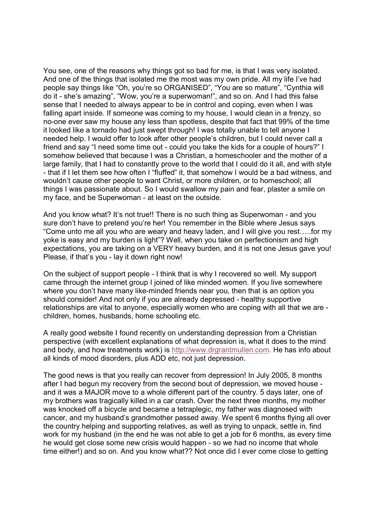You see, one of the reasons why things got so bad for me, is that I was very isolated. And one of the things that isolated me the most was my own pride. All my life I've had people say things like "Oh, you're so ORGANISED", "You are so mature", "Cynthia will do it - she's amazing", "Wow, you're a superwoman!", and so on. And I had this false sense that I needed to always appear to be in control and coping, even when I was falling apart inside. If someone was coming to my house, I would clean in a frenzy, so no-one ever saw my house any less than spotless, despite that fact that 99% of the time it looked like a tornado had just swept through! I was totally unable to tell anyone I needed help. I would offer to look after other people's children, but I could never call a friend and say "I need some time out - could you take the kids for a couple of hours?" I somehow believed that because I was a Christian, a homeschooler and the mother of a large family, that I had to constantly prove to the world that I could do it all, and with style - that if I let them see how often I "fluffed" it, that somehow I would be a bad witness, and wouldn't cause other people to want Christ, or more children, or to homeschool; all things I was passionate about. So I would swallow my pain and fear, plaster a smile on my face, and be Superwoman - at least on the outside.

And you know what? It's not true!! There is no such thing as Superwoman - and you sure don't have to pretend you're her! You remember in the Bible where Jesus says "Come unto me all you who are weary and heavy laden, and I will give you rest…..for my yoke is easy and my burden is light"? Well, when you take on perfectionism and high expectations, you are taking on a VERY heavy burden, and it is not one Jesus gave you! Please, if that's you - lay it down right now!

On the subject of support people - I think that is why I recovered so well. My support came through the internet group I joined of like minded women. If you live somewhere where you don't have many like-minded friends near you, then that is an option you should consider! And not only if you are already depressed - healthy supportive relationships are vital to anyone, especially women who are coping with all that we are children, homes, husbands, home schooling etc.

A really good website I found recently on understanding depression from a Christian perspective (with excellent explanations of what depression is, what it does to the mind and body, and how treatments work) is http://www.drgrantmullen.com. He has info about all kinds of mood disorders, plus ADD etc, not just depression.

The good news is that you really can recover from depression! In July 2005, 8 months after I had begun my recovery from the second bout of depression, we moved house and it was a MAJOR move to a whole different part of the country. 5 days later, one of my brothers was tragically killed in a car crash. Over the next three months, my mother was knocked off a bicycle and became a tetraplegic, my father was diagnosed with cancer, and my husband's grandmother passed away. We spent 6 months flying all over the country helping and supporting relatives, as well as trying to unpack, settle in, find work for my husband (in the end he was not able to get a job for 6 months, as every time he would get close some new crisis would happen - so we had no income that whole time either!) and so on. And you know what?? Not once did I ever come close to getting